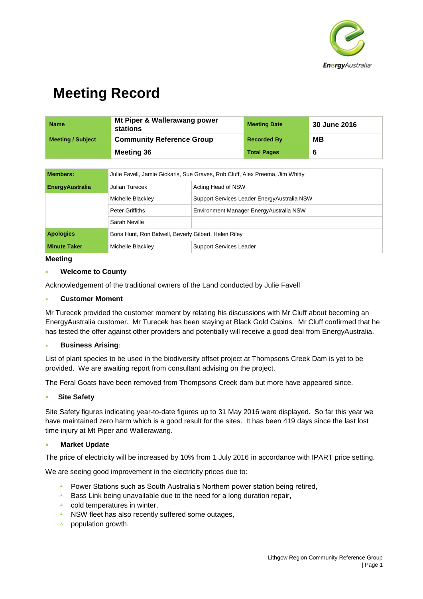

| Name                     | Mt Piper & Wallerawang power<br>stations | <b>Meeting Date</b> | <b>30 June 2016</b> |
|--------------------------|------------------------------------------|---------------------|---------------------|
| <b>Meeting / Subject</b> | <b>Community Reference Group</b>         | <b>Recorded By</b>  | MВ                  |
|                          | <b>Meeting 36</b>                        | <b>Total Pages</b>  | -6                  |

| <b>Members:</b>        | Julie Favell, Jamie Giokaris, Sue Graves, Rob Cluff, Alex Preema, Jim Whitty |                                              |  |
|------------------------|------------------------------------------------------------------------------|----------------------------------------------|--|
| <b>EnergyAustralia</b> | Julian Turecek                                                               | Acting Head of NSW                           |  |
|                        | Michelle Blackley                                                            | Support Services Leader Energy Australia NSW |  |
|                        | Peter Griffiths                                                              | Environment Manager Energy Australia NSW     |  |
|                        | Sarah Neville                                                                |                                              |  |
| <b>Apologies</b>       | Boris Hunt, Ron Bidwell, Beverly Gilbert, Helen Riley                        |                                              |  |
| <b>Minute Taker</b>    | Michelle Blackley                                                            | <b>Support Services Leader</b>               |  |

#### **Meeting**

#### **Welcome to County**

Acknowledgement of the traditional owners of the Land conducted by Julie Favell

#### **Customer Moment**

Mr Turecek provided the customer moment by relating his discussions with Mr Cluff about becoming an EnergyAustralia customer. Mr Turecek has been staying at Black Gold Cabins. Mr Cluff confirmed that he has tested the offer against other providers and potentially will receive a good deal from EnergyAustralia.

### **Business Arising:**

List of plant species to be used in the biodiversity offset project at Thompsons Creek Dam is yet to be provided. We are awaiting report from consultant advising on the project.

The Feral Goats have been removed from Thompsons Creek dam but more have appeared since.

#### **Site Safety**

Site Safety figures indicating year-to-date figures up to 31 May 2016 were displayed. So far this year we have maintained zero harm which is a good result for the sites. It has been 419 days since the last lost time injury at Mt Piper and Wallerawang.

### **Market Update**

The price of electricity will be increased by 10% from 1 July 2016 in accordance with IPART price setting.

We are seeing good improvement in the electricity prices due to:

- $\overline{P}$  Power Stations such as South Australia's Northern power station being retired,
- $\overline{A}$  Bass Link being unavailable due to the need for a long duration repair,
- $\lambda$  cold temperatures in winter.
- $\lambda$  NSW fleet has also recently suffered some outages,
- $\lambda$  population growth.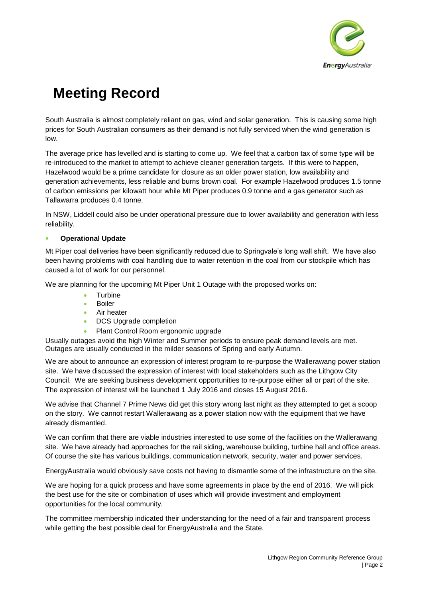

South Australia is almost completely reliant on gas, wind and solar generation. This is causing some high prices for South Australian consumers as their demand is not fully serviced when the wind generation is low.

The average price has levelled and is starting to come up. We feel that a carbon tax of some type will be re-introduced to the market to attempt to achieve cleaner generation targets. If this were to happen, Hazelwood would be a prime candidate for closure as an older power station, low availability and generation achievements, less reliable and burns brown coal. For example Hazelwood produces 1.5 tonne of carbon emissions per kilowatt hour while Mt Piper produces 0.9 tonne and a gas generator such as Tallawarra produces 0.4 tonne.

In NSW, Liddell could also be under operational pressure due to lower availability and generation with less reliability.

### **Operational Update**

Mt Piper coal deliveries have been significantly reduced due to Springvale's long wall shift. We have also been having problems with coal handling due to water retention in the coal from our stockpile which has caused a lot of work for our personnel.

We are planning for the upcoming Mt Piper Unit 1 Outage with the proposed works on:

- Turbine
- Boiler
- **Air heater**
- DCS Upgrade completion
- Plant Control Room ergonomic upgrade

Usually outages avoid the high Winter and Summer periods to ensure peak demand levels are met. Outages are usually conducted in the milder seasons of Spring and early Autumn.

We are about to announce an expression of interest program to re-purpose the Wallerawang power station site. We have discussed the expression of interest with local stakeholders such as the Lithgow City Council. We are seeking business development opportunities to re-purpose either all or part of the site. The expression of interest will be launched 1 July 2016 and closes 15 August 2016.

We advise that Channel 7 Prime News did get this story wrong last night as they attempted to get a scoop on the story. We cannot restart Wallerawang as a power station now with the equipment that we have already dismantled.

We can confirm that there are viable industries interested to use some of the facilities on the Wallerawang site. We have already had approaches for the rail siding, warehouse building, turbine hall and office areas. Of course the site has various buildings, communication network, security, water and power services.

EnergyAustralia would obviously save costs not having to dismantle some of the infrastructure on the site.

We are hoping for a quick process and have some agreements in place by the end of 2016. We will pick the best use for the site or combination of uses which will provide investment and employment opportunities for the local community.

The committee membership indicated their understanding for the need of a fair and transparent process while getting the best possible deal for EnergyAustralia and the State.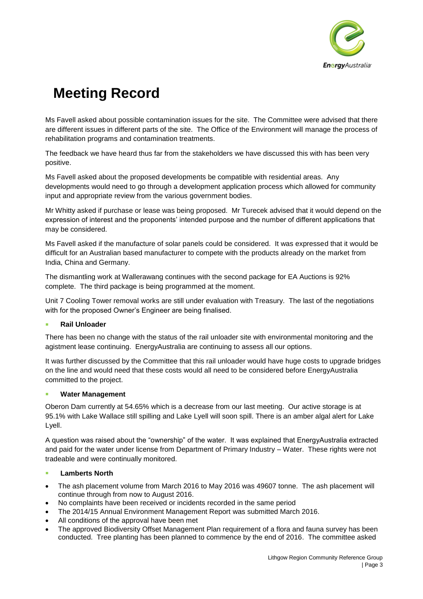

Ms Favell asked about possible contamination issues for the site. The Committee were advised that there are different issues in different parts of the site. The Office of the Environment will manage the process of rehabilitation programs and contamination treatments.

The feedback we have heard thus far from the stakeholders we have discussed this with has been very positive.

Ms Favell asked about the proposed developments be compatible with residential areas. Any developments would need to go through a development application process which allowed for community input and appropriate review from the various government bodies.

Mr Whitty asked if purchase or lease was being proposed. Mr Turecek advised that it would depend on the expression of interest and the proponents' intended purpose and the number of different applications that may be considered.

Ms Favell asked if the manufacture of solar panels could be considered. It was expressed that it would be difficult for an Australian based manufacturer to compete with the products already on the market from India, China and Germany.

The dismantling work at Wallerawang continues with the second package for EA Auctions is 92% complete. The third package is being programmed at the moment.

Unit 7 Cooling Tower removal works are still under evaluation with Treasury. The last of the negotiations with for the proposed Owner's Engineer are being finalised.

### **Rail Unloader**

There has been no change with the status of the rail unloader site with environmental monitoring and the agistment lease continuing. EnergyAustralia are continuing to assess all our options.

It was further discussed by the Committee that this rail unloader would have huge costs to upgrade bridges on the line and would need that these costs would all need to be considered before EnergyAustralia committed to the project.

### **Water Management**

Oberon Dam currently at 54.65% which is a decrease from our last meeting. Our active storage is at 95.1% with Lake Wallace still spilling and Lake Lyell will soon spill. There is an amber algal alert for Lake Lyell.

A question was raised about the "ownership" of the water. It was explained that EnergyAustralia extracted and paid for the water under license from Department of Primary Industry – Water. These rights were not tradeable and were continually monitored.

### **Lamberts North**

- The ash placement volume from March 2016 to May 2016 was 49607 tonne. The ash placement will continue through from now to August 2016.
- No complaints have been received or incidents recorded in the same period
- The 2014/15 Annual Environment Management Report was submitted March 2016.
- All conditions of the approval have been met
- The approved Biodiversity Offset Management Plan requirement of a flora and fauna survey has been conducted. Tree planting has been planned to commence by the end of 2016. The committee asked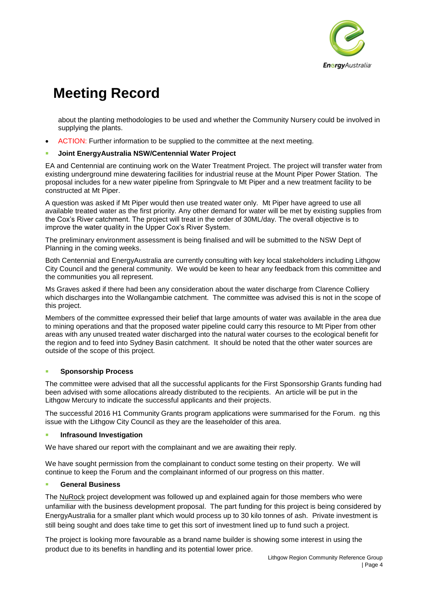

about the planting methodologies to be used and whether the Community Nursery could be involved in supplying the plants.

ACTION: Further information to be supplied to the committee at the next meeting.

#### **Joint EnergyAustralia NSW/Centennial Water Project**

EA and Centennial are continuing work on the Water Treatment Project. The project will transfer water from existing underground mine dewatering facilities for industrial reuse at the Mount Piper Power Station. The proposal includes for a new water pipeline from Springvale to Mt Piper and a new treatment facility to be constructed at Mt Piper.

A question was asked if Mt Piper would then use treated water only. Mt Piper have agreed to use all available treated water as the first priority. Any other demand for water will be met by existing supplies from the Cox's River catchment. The project will treat in the order of 30ML/day. The overall objective is to improve the water quality in the Upper Cox's River System.

The preliminary environment assessment is being finalised and will be submitted to the NSW Dept of Planning in the coming weeks.

Both Centennial and EnergyAustralia are currently consulting with key local stakeholders including Lithgow City Council and the general community. We would be keen to hear any feedback from this committee and the communities you all represent.

Ms Graves asked if there had been any consideration about the water discharge from Clarence Colliery which discharges into the Wollangambie catchment. The committee was advised this is not in the scope of this project.

Members of the committee expressed their belief that large amounts of water was available in the area due to mining operations and that the proposed water pipeline could carry this resource to Mt Piper from other areas with any unused treated water discharged into the natural water courses to the ecological benefit for the region and to feed into Sydney Basin catchment. It should be noted that the other water sources are outside of the scope of this project.

### **Sponsorship Process**

The committee were advised that all the successful applicants for the First Sponsorship Grants funding had been advised with some allocations already distributed to the recipients. An article will be put in the Lithgow Mercury to indicate the successful applicants and their projects.

The successful 2016 H1 Community Grants program applications were summarised for the Forum. ng this issue with the Lithgow City Council as they are the leaseholder of this area.

#### **Infrasound Investigation**

We have shared our report with the complainant and we are awaiting their reply.

We have sought permission from the complainant to conduct some testing on their property. We will continue to keep the Forum and the complainant informed of our progress on this matter.

#### **General Business**

The NuRock project development was followed up and explained again for those members who were unfamiliar with the business development proposal. The part funding for this project is being considered by EnergyAustralia for a smaller plant which would process up to 30 kilo tonnes of ash. Private investment is still being sought and does take time to get this sort of investment lined up to fund such a project.

The project is looking more favourable as a brand name builder is showing some interest in using the product due to its benefits in handling and its potential lower price.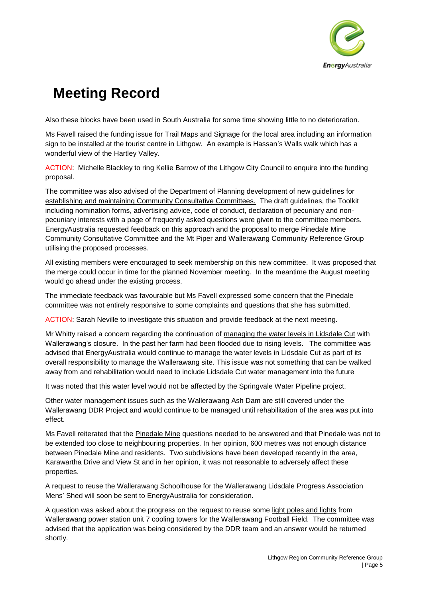

Also these blocks have been used in South Australia for some time showing little to no deterioration.

Ms Favell raised the funding issue for Trail Maps and Signage for the local area including an information sign to be installed at the tourist centre in Lithgow. An example is Hassan's Walls walk which has a wonderful view of the Hartley Valley.

ACTION: Michelle Blackley to ring Kellie Barrow of the Lithgow City Council to enquire into the funding proposal.

The committee was also advised of the Department of Planning development of new guidelines for establishing and maintaining Community Consultative Committees. The draft guidelines, the Toolkit including nomination forms, advertising advice, code of conduct, declaration of pecuniary and nonpecuniary interests with a page of frequently asked questions were given to the committee members. EnergyAustralia requested feedback on this approach and the proposal to merge Pinedale Mine Community Consultative Committee and the Mt Piper and Wallerawang Community Reference Group utilising the proposed processes.

All existing members were encouraged to seek membership on this new committee. It was proposed that the merge could occur in time for the planned November meeting. In the meantime the August meeting would go ahead under the existing process.

The immediate feedback was favourable but Ms Favell expressed some concern that the Pinedale committee was not entirely responsive to some complaints and questions that she has submitted.

ACTION: Sarah Neville to investigate this situation and provide feedback at the next meeting.

Mr Whitty raised a concern regarding the continuation of managing the water levels in Lidsdale Cut with Wallerawang's closure. In the past her farm had been flooded due to rising levels. The committee was advised that EnergyAustralia would continue to manage the water levels in Lidsdale Cut as part of its overall responsibility to manage the Wallerawang site. This issue was not something that can be walked away from and rehabilitation would need to include Lidsdale Cut water management into the future

It was noted that this water level would not be affected by the Springvale Water Pipeline project.

Other water management issues such as the Wallerawang Ash Dam are still covered under the Wallerawang DDR Project and would continue to be managed until rehabilitation of the area was put into effect.

Ms Favell reiterated that the Pinedale Mine questions needed to be answered and that Pinedale was not to be extended too close to neighbouring properties. In her opinion, 600 metres was not enough distance between Pinedale Mine and residents. Two subdivisions have been developed recently in the area, Karawartha Drive and View St and in her opinion, it was not reasonable to adversely affect these properties.

A request to reuse the Wallerawang Schoolhouse for the Wallerawang Lidsdale Progress Association Mens' Shed will soon be sent to EnergyAustralia for consideration.

A question was asked about the progress on the request to reuse some light poles and lights from Wallerawang power station unit 7 cooling towers for the Wallerawang Football Field. The committee was advised that the application was being considered by the DDR team and an answer would be returned shortly.